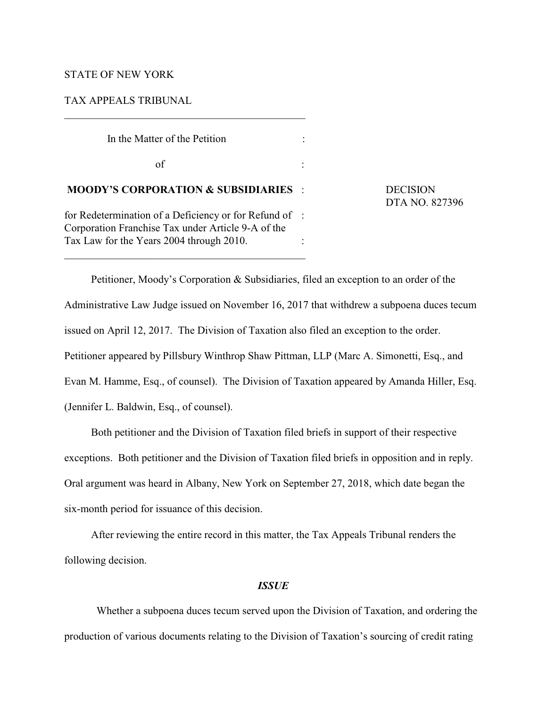# STATE OF NEW YORK

## TAX APPEALS TRIBUNAL

 In the Matter of the Petition :  $\sigma$  of  $\Gamma$  : **MOODY'S CORPORATION & SUBSIDIARIES** : DECISION for Redetermination of a Deficiency or for Refund of : Corporation Franchise Tax under Article 9-A of the Tax Law for the Years 2004 through 2010. : \_\_\_\_\_\_\_\_\_\_\_\_\_\_\_\_\_\_\_\_\_\_\_\_\_\_\_\_\_\_\_\_\_\_\_\_\_\_\_\_\_\_\_\_\_

\_\_\_\_\_\_\_\_\_\_\_\_\_\_\_\_\_\_\_\_\_\_\_\_\_\_\_\_\_\_\_\_\_\_\_\_\_\_\_\_\_\_\_\_\_

DTA NO. 827396

Petitioner, Moody's Corporation & Subsidiaries, filed an exception to an order of the Administrative Law Judge issued on November 16, 2017 that withdrew a subpoena duces tecum issued on April 12, 2017. The Division of Taxation also filed an exception to the order. Petitioner appeared by Pillsbury Winthrop Shaw Pittman, LLP (Marc A. Simonetti, Esq., and Evan M. Hamme, Esq., of counsel). The Division of Taxation appeared by Amanda Hiller, Esq. (Jennifer L. Baldwin, Esq., of counsel).

Both petitioner and the Division of Taxation filed briefs in support of their respective exceptions. Both petitioner and the Division of Taxation filed briefs in opposition and in reply. Oral argument was heard in Albany, New York on September 27, 2018, which date began the six-month period for issuance of this decision.

After reviewing the entire record in this matter, the Tax Appeals Tribunal renders the following decision.

#### *ISSUE*

 Whether a subpoena duces tecum served upon the Division of Taxation, and ordering the production of various documents relating to the Division of Taxation's sourcing of credit rating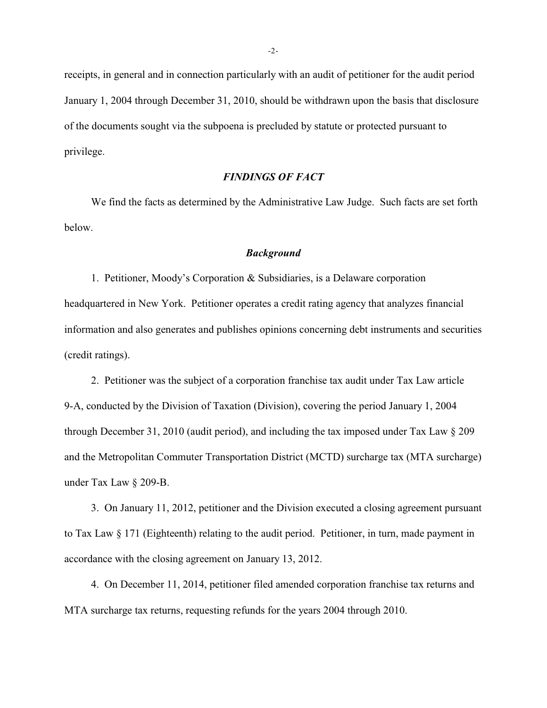receipts, in general and in connection particularly with an audit of petitioner for the audit period January 1, 2004 through December 31, 2010, should be withdrawn upon the basis that disclosure of the documents sought via the subpoena is precluded by statute or protected pursuant to privilege.

## *FINDINGS OF FACT*

We find the facts as determined by the Administrative Law Judge. Such facts are set forth below.

#### *Background*

1. Petitioner, Moody's Corporation & Subsidiaries, is a Delaware corporation headquartered in New York. Petitioner operates a credit rating agency that analyzes financial information and also generates and publishes opinions concerning debt instruments and securities (credit ratings).

2. Petitioner was the subject of a corporation franchise tax audit under Tax Law article 9-A, conducted by the Division of Taxation (Division), covering the period January 1, 2004 through December 31, 2010 (audit period), and including the tax imposed under Tax Law § 209 and the Metropolitan Commuter Transportation District (MCTD) surcharge tax (MTA surcharge) under Tax Law § 209-B.

3. On January 11, 2012, petitioner and the Division executed a closing agreement pursuant to Tax Law § 171 (Eighteenth) relating to the audit period. Petitioner, in turn, made payment in accordance with the closing agreement on January 13, 2012.

4. On December 11, 2014, petitioner filed amended corporation franchise tax returns and MTA surcharge tax returns, requesting refunds for the years 2004 through 2010.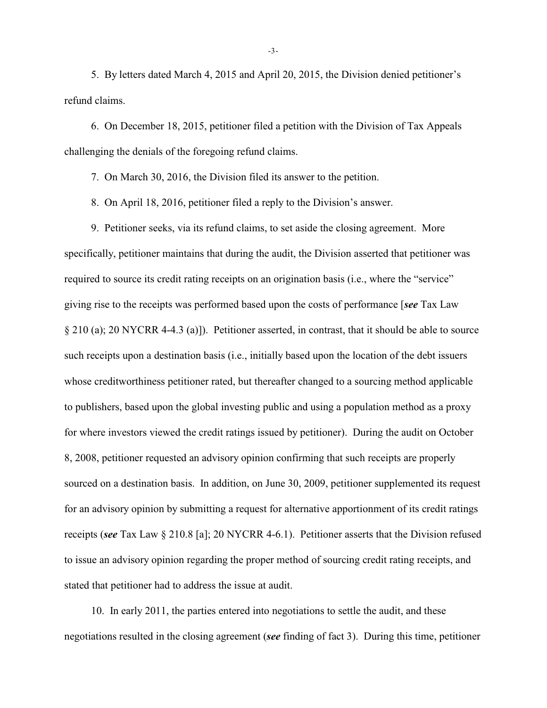5. By letters dated March 4, 2015 and April 20, 2015, the Division denied petitioner's refund claims.

6. On December 18, 2015, petitioner filed a petition with the Division of Tax Appeals challenging the denials of the foregoing refund claims.

7. On March 30, 2016, the Division filed its answer to the petition.

8. On April 18, 2016, petitioner filed a reply to the Division's answer.

9. Petitioner seeks, via its refund claims, to set aside the closing agreement. More specifically, petitioner maintains that during the audit, the Division asserted that petitioner was required to source its credit rating receipts on an origination basis (i.e., where the "service" giving rise to the receipts was performed based upon the costs of performance [*see* Tax Law § 210 (a); 20 NYCRR 4-4.3 (a)]). Petitioner asserted, in contrast, that it should be able to source such receipts upon a destination basis (i.e., initially based upon the location of the debt issuers whose creditworthiness petitioner rated, but thereafter changed to a sourcing method applicable to publishers, based upon the global investing public and using a population method as a proxy for where investors viewed the credit ratings issued by petitioner). During the audit on October 8, 2008, petitioner requested an advisory opinion confirming that such receipts are properly sourced on a destination basis. In addition, on June 30, 2009, petitioner supplemented its request for an advisory opinion by submitting a request for alternative apportionment of its credit ratings receipts (*see* Tax Law § 210.8 [a]; 20 NYCRR 4-6.1). Petitioner asserts that the Division refused to issue an advisory opinion regarding the proper method of sourcing credit rating receipts, and stated that petitioner had to address the issue at audit.

10. In early 2011, the parties entered into negotiations to settle the audit, and these negotiations resulted in the closing agreement (*see* finding of fact 3). During this time, petitioner

-3-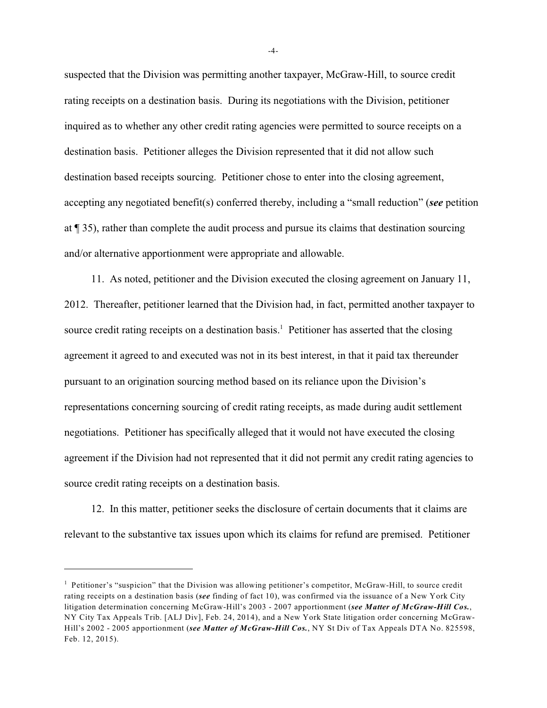suspected that the Division was permitting another taxpayer, McGraw-Hill, to source credit rating receipts on a destination basis. During its negotiations with the Division, petitioner inquired as to whether any other credit rating agencies were permitted to source receipts on a destination basis. Petitioner alleges the Division represented that it did not allow such destination based receipts sourcing. Petitioner chose to enter into the closing agreement, accepting any negotiated benefit(s) conferred thereby, including a "small reduction" (*see* petition at ¶ 35), rather than complete the audit process and pursue its claims that destination sourcing and/or alternative apportionment were appropriate and allowable.

11. As noted, petitioner and the Division executed the closing agreement on January 11, 2012. Thereafter, petitioner learned that the Division had, in fact, permitted another taxpayer to source credit rating receipts on a destination basis.<sup>1</sup> Petitioner has asserted that the closing agreement it agreed to and executed was not in its best interest, in that it paid tax thereunder pursuant to an origination sourcing method based on its reliance upon the Division's representations concerning sourcing of credit rating receipts, as made during audit settlement negotiations. Petitioner has specifically alleged that it would not have executed the closing agreement if the Division had not represented that it did not permit any credit rating agencies to source credit rating receipts on a destination basis.

12. In this matter, petitioner seeks the disclosure of certain documents that it claims are relevant to the substantive tax issues upon which its claims for refund are premised. Petitioner

-4-

 $<sup>1</sup>$  Petitioner's "suspicion" that the Division was allowing petitioner's competitor, McGraw-Hill, to source credit</sup> rating receipts on a destination basis (*see* finding of fact 10), was confirmed via the issuance of a New York City litigation determination concerning McGraw-Hill's 2003 - 2007 apportionment (*see Matter of McGraw-Hill Cos.*, NY City Tax Appeals Trib. [ALJ Div], Feb. 24, 2014), and a New York State litigation order concerning McGraw-Hill's 2002 - 2005 apportionment (*see Matter of McGraw-Hill Cos.*, NY St Div of Tax Appeals DTA No. 825598, Feb. 12, 2015).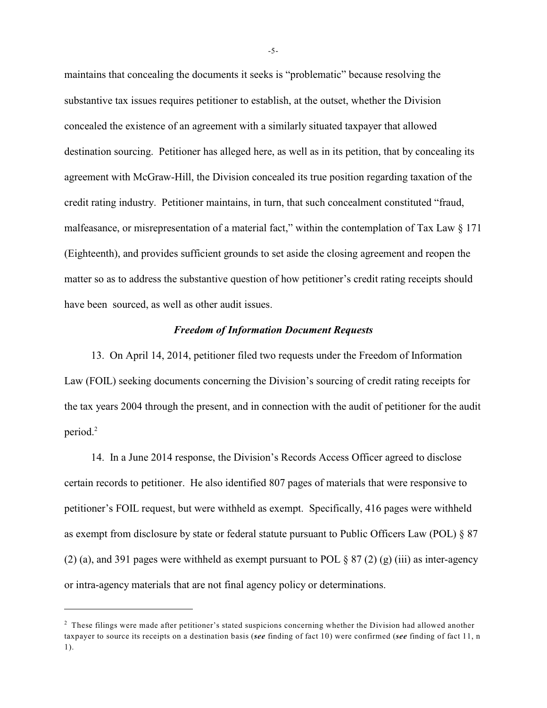maintains that concealing the documents it seeks is "problematic" because resolving the substantive tax issues requires petitioner to establish, at the outset, whether the Division concealed the existence of an agreement with a similarly situated taxpayer that allowed destination sourcing. Petitioner has alleged here, as well as in its petition, that by concealing its agreement with McGraw-Hill, the Division concealed its true position regarding taxation of the credit rating industry. Petitioner maintains, in turn, that such concealment constituted "fraud, malfeasance, or misrepresentation of a material fact," within the contemplation of Tax Law § 171 (Eighteenth), and provides sufficient grounds to set aside the closing agreement and reopen the matter so as to address the substantive question of how petitioner's credit rating receipts should have been sourced, as well as other audit issues.

# *Freedom of Information Document Requests*

13. On April 14, 2014, petitioner filed two requests under the Freedom of Information Law (FOIL) seeking documents concerning the Division's sourcing of credit rating receipts for the tax years 2004 through the present, and in connection with the audit of petitioner for the audit period.<sup>2</sup>

14. In a June 2014 response, the Division's Records Access Officer agreed to disclose certain records to petitioner. He also identified 807 pages of materials that were responsive to petitioner's FOIL request, but were withheld as exempt. Specifically, 416 pages were withheld as exempt from disclosure by state or federal statute pursuant to Public Officers Law (POL) § 87 (2) (a), and 391 pages were withheld as exempt pursuant to POL  $\S 87$  (2) (g) (iii) as inter-agency or intra-agency materials that are not final agency policy or determinations.

-5-

 $<sup>2</sup>$  These filings were made after petitioner's stated suspicions concerning whether the Division had allowed another</sup> taxpayer to source its receipts on a destination basis (*see* finding of fact 10) were confirmed (*see* finding of fact 11, n 1).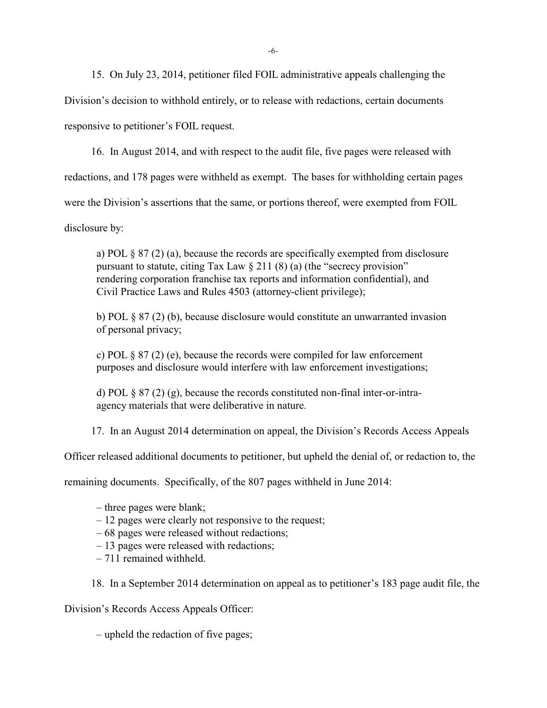15. On July 23, 2014, petitioner filed FOIL administrative appeals challenging the

Division's decision to withhold entirely, or to release with redactions, certain documents

responsive to petitioner's FOIL request.

16. In August 2014, and with respect to the audit file, five pages were released with

redactions, and 178 pages were withheld as exempt. The bases for withholding certain pages

were the Division's assertions that the same, or portions thereof, were exempted from FOIL

disclosure by:

a) POL § 87 (2) (a), because the records are specifically exempted from disclosure pursuant to statute, citing Tax Law  $\S 211 (8) (a)$  (the "secrecy provision" rendering corporation franchise tax reports and information confidential), and Civil Practice Laws and Rules 4503 (attorney-client privilege);

b) POL § 87 (2) (b), because disclosure would constitute an unwarranted invasion of personal privacy;

c) POL  $\S 87$  (2) (e), because the records were compiled for law enforcement purposes and disclosure would interfere with law enforcement investigations;

d) POL § 87 (2) (g), because the records constituted non-final inter-or-intraagency materials that were deliberative in nature.

17. In an August 2014 determination on appeal, the Division's Records Access Appeals

Officer released additional documents to petitioner, but upheld the denial of, or redaction to, the

remaining documents. Specifically, of the 807 pages withheld in June 2014:

- three pages were blank;
- 12 pages were clearly not responsive to the request;
- 68 pages were released without redactions;
- 13 pages were released with redactions;
- 711 remained withheld.

18. In a September 2014 determination on appeal as to petitioner's 183 page audit file, the

Division's Records Access Appeals Officer:

– upheld the redaction of five pages;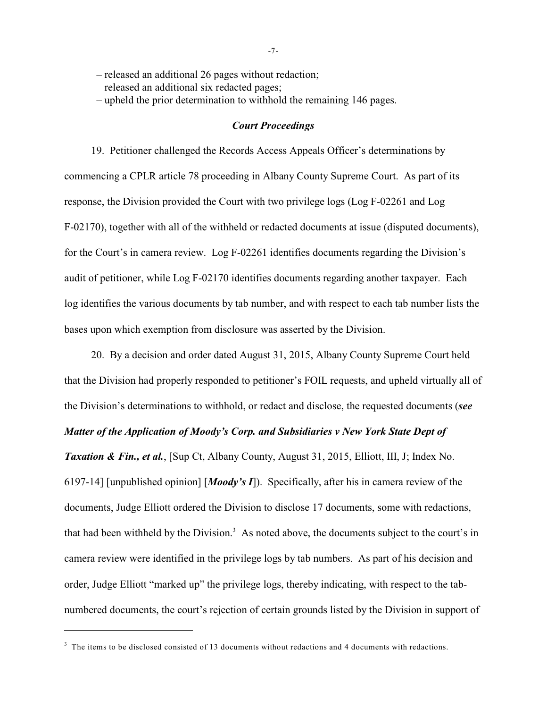– released an additional 26 pages without redaction;

– released an additional six redacted pages;

– upheld the prior determination to withhold the remaining 146 pages.

#### *Court Proceedings*

19. Petitioner challenged the Records Access Appeals Officer's determinations by commencing a CPLR article 78 proceeding in Albany County Supreme Court. As part of its response, the Division provided the Court with two privilege logs (Log F-02261 and Log F-02170), together with all of the withheld or redacted documents at issue (disputed documents), for the Court's in camera review. Log F-02261 identifies documents regarding the Division's audit of petitioner, while Log F-02170 identifies documents regarding another taxpayer. Each log identifies the various documents by tab number, and with respect to each tab number lists the bases upon which exemption from disclosure was asserted by the Division.

20. By a decision and order dated August 31, 2015, Albany County Supreme Court held that the Division had properly responded to petitioner's FOIL requests, and upheld virtually all of the Division's determinations to withhold, or redact and disclose, the requested documents (*see Matter of the Application of Moody's Corp. and Subsidiaries v New York State Dept of Taxation & Fin., et al.*, [Sup Ct, Albany County, August 31, 2015, Elliott, III, J; Index No. 6197-14] [unpublished opinion] [*Moody's I*]). Specifically, after his in camera review of the documents, Judge Elliott ordered the Division to disclose 17 documents, some with redactions, that had been withheld by the Division.<sup>3</sup> As noted above, the documents subject to the court's in camera review were identified in the privilege logs by tab numbers. As part of his decision and order, Judge Elliott "marked up" the privilege logs, thereby indicating, with respect to the tabnumbered documents, the court's rejection of certain grounds listed by the Division in support of

 $3$  The items to be disclosed consisted of 13 documents without redactions and 4 documents with redactions.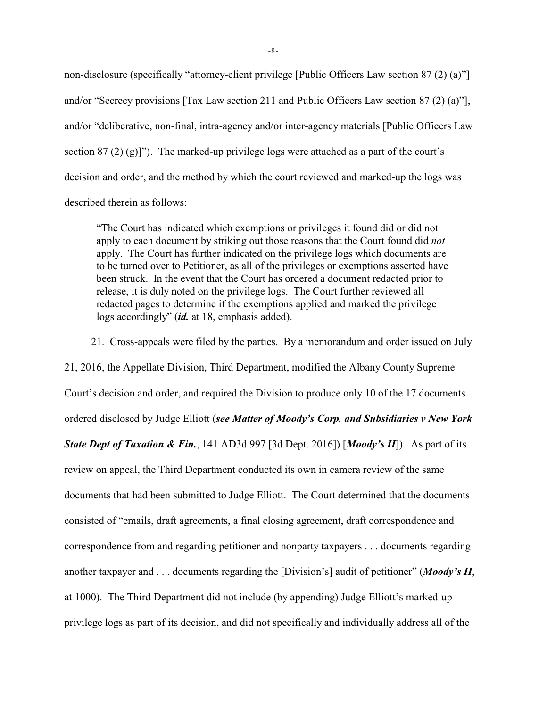non-disclosure (specifically "attorney-client privilege [Public Officers Law section 87 (2) (a)"] and/or "Secrecy provisions [Tax Law section 211 and Public Officers Law section 87 (2) (a)"], and/or "deliberative, non-final, intra-agency and/or inter-agency materials [Public Officers Law section 87 (2) (g)]"). The marked-up privilege logs were attached as a part of the court's decision and order, and the method by which the court reviewed and marked-up the logs was described therein as follows:

"The Court has indicated which exemptions or privileges it found did or did not apply to each document by striking out those reasons that the Court found did *not* apply. The Court has further indicated on the privilege logs which documents are to be turned over to Petitioner, as all of the privileges or exemptions asserted have been struck. In the event that the Court has ordered a document redacted prior to release, it is duly noted on the privilege logs. The Court further reviewed all redacted pages to determine if the exemptions applied and marked the privilege logs accordingly" (*id.* at 18, emphasis added).

21. Cross-appeals were filed by the parties. By a memorandum and order issued on July 21, 2016, the Appellate Division, Third Department, modified the Albany County Supreme Court's decision and order, and required the Division to produce only 10 of the 17 documents ordered disclosed by Judge Elliott (*see Matter of Moody's Corp. and Subsidiaries v New York State Dept of Taxation & Fin.*, 141 AD3d 997 [3d Dept. 2016]) [*Moody's II*]). As part of its review on appeal, the Third Department conducted its own in camera review of the same documents that had been submitted to Judge Elliott. The Court determined that the documents consisted of "emails, draft agreements, a final closing agreement, draft correspondence and correspondence from and regarding petitioner and nonparty taxpayers . . . documents regarding another taxpayer and . . . documents regarding the [Division's] audit of petitioner" (*Moody's II*, at 1000). The Third Department did not include (by appending) Judge Elliott's marked-up privilege logs as part of its decision, and did not specifically and individually address all of the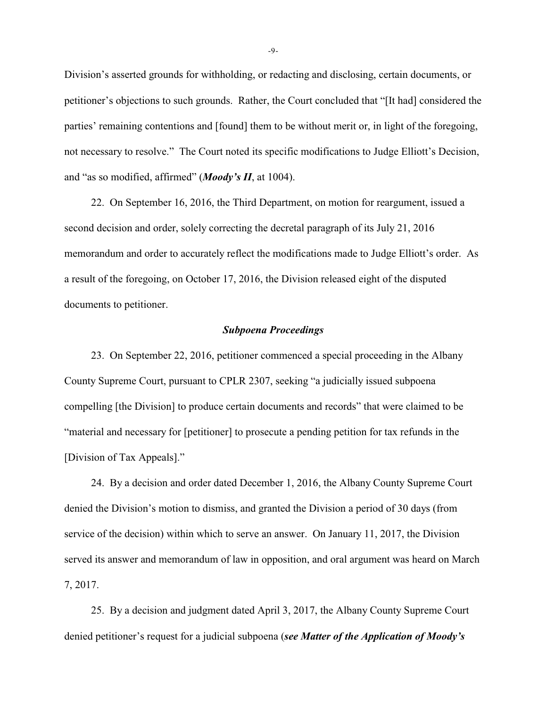Division's asserted grounds for withholding, or redacting and disclosing, certain documents, or petitioner's objections to such grounds. Rather, the Court concluded that "[It had] considered the parties' remaining contentions and [found] them to be without merit or, in light of the foregoing, not necessary to resolve." The Court noted its specific modifications to Judge Elliott's Decision, and "as so modified, affirmed" (*Moody's II*, at 1004).

22. On September 16, 2016, the Third Department, on motion for reargument, issued a second decision and order, solely correcting the decretal paragraph of its July 21, 2016 memorandum and order to accurately reflect the modifications made to Judge Elliott's order. As a result of the foregoing, on October 17, 2016, the Division released eight of the disputed documents to petitioner.

#### *Subpoena Proceedings*

23. On September 22, 2016, petitioner commenced a special proceeding in the Albany County Supreme Court, pursuant to CPLR 2307, seeking "a judicially issued subpoena compelling [the Division] to produce certain documents and records" that were claimed to be "material and necessary for [petitioner] to prosecute a pending petition for tax refunds in the [Division of Tax Appeals]."

24. By a decision and order dated December 1, 2016, the Albany County Supreme Court denied the Division's motion to dismiss, and granted the Division a period of 30 days (from service of the decision) within which to serve an answer. On January 11, 2017, the Division served its answer and memorandum of law in opposition, and oral argument was heard on March 7, 2017.

25. By a decision and judgment dated April 3, 2017, the Albany County Supreme Court denied petitioner's request for a judicial subpoena (*see Matter of the Application of Moody's*

-9-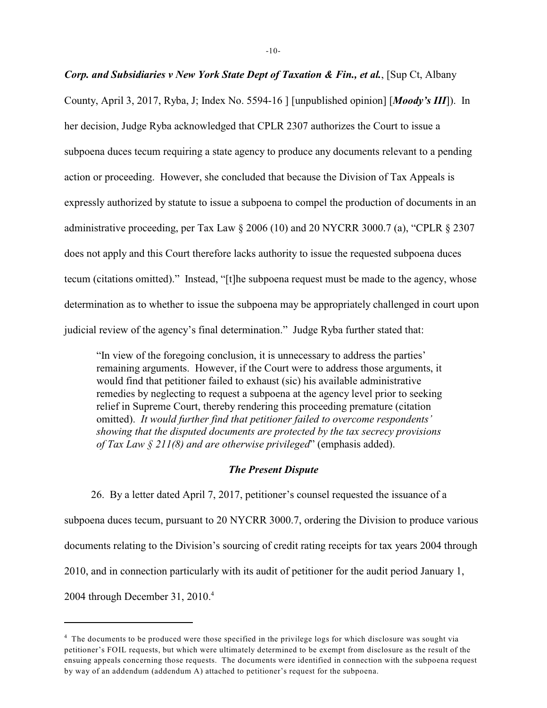## *Corp. and Subsidiaries v New York State Dept of Taxation & Fin., et al.*, [Sup Ct, Albany

County, April 3, 2017, Ryba, J; Index No. 5594-16 ] [unpublished opinion] [*Moody's III*]). In her decision, Judge Ryba acknowledged that CPLR 2307 authorizes the Court to issue a subpoena duces tecum requiring a state agency to produce any documents relevant to a pending action or proceeding. However, she concluded that because the Division of Tax Appeals is expressly authorized by statute to issue a subpoena to compel the production of documents in an administrative proceeding, per Tax Law § 2006 (10) and 20 NYCRR 3000.7 (a), "CPLR § 2307 does not apply and this Court therefore lacks authority to issue the requested subpoena duces tecum (citations omitted)." Instead, "[t]he subpoena request must be made to the agency, whose determination as to whether to issue the subpoena may be appropriately challenged in court upon judicial review of the agency's final determination." Judge Ryba further stated that:

"In view of the foregoing conclusion, it is unnecessary to address the parties' remaining arguments. However, if the Court were to address those arguments, it would find that petitioner failed to exhaust (sic) his available administrative remedies by neglecting to request a subpoena at the agency level prior to seeking relief in Supreme Court, thereby rendering this proceeding premature (citation omitted). *It would further find that petitioner failed to overcome respondents' showing that the disputed documents are protected by the tax secrecy provisions of Tax Law § 211(8) and are otherwise privileged*" (emphasis added).

#### *The Present Dispute*

26. By a letter dated April 7, 2017, petitioner's counsel requested the issuance of a subpoena duces tecum, pursuant to 20 NYCRR 3000.7, ordering the Division to produce various documents relating to the Division's sourcing of credit rating receipts for tax years 2004 through 2010, and in connection particularly with its audit of petitioner for the audit period January 1, 2004 through December 31, 2010.<sup>4</sup>

<sup>&</sup>lt;sup>4</sup> The documents to be produced were those specified in the privilege logs for which disclosure was sought via petitioner's FOIL requests, but which were ultimately determined to be exempt from disclosure as the result of the ensuing appeals concerning those requests. The documents were identified in connection with the subpoena request by way of an addendum (addendum A) attached to petitioner's request for the subpoena.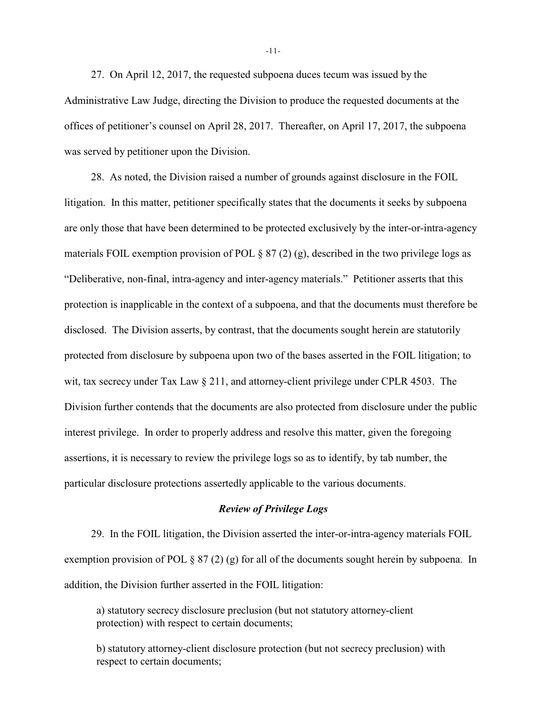27. On April 12, 2017, the requested subpoena duces tecum was issued by the Administrative Law Judge, directing the Division to produce the requested documents at the offices of petitioner's counsel on April 28, 2017. Thereafter, on April 17, 2017, the subpoena was served by petitioner upon the Division.

28. As noted, the Division raised a number of grounds against disclosure in the FOIL litigation. In this matter, petitioner specifically states that the documents it seeks by subpoena are only those that have been determined to be protected exclusively by the inter-or-intra-agency materials FOIL exemption provision of POL  $\S 87 (2) (g)$ , described in the two privilege logs as "Deliberative, non-final, intra-agency and inter-agency materials." Petitioner asserts that this protection is inapplicable in the context of a subpoena, and that the documents must therefore be disclosed. The Division asserts, by contrast, that the documents sought herein are statutorily protected from disclosure by subpoena upon two of the bases asserted in the FOIL litigation; to wit, tax secrecy under Tax Law § 211, and attorney-client privilege under CPLR 4503. The Division further contends that the documents are also protected from disclosure under the public interest privilege. In order to properly address and resolve this matter, given the foregoing assertions, it is necessary to review the privilege logs so as to identify, by tab number, the particular disclosure protections assertedly applicable to the various documents.

#### *Review of Privilege Logs*

29. In the FOIL litigation, the Division asserted the inter-or-intra-agency materials FOIL exemption provision of POL § 87 (2) (g) for all of the documents sought herein by subpoena. In addition, the Division further asserted in the FOIL litigation:

a) statutory secrecy disclosure preclusion (but not statutory attorney-client protection) with respect to certain documents;

b) statutory attorney-client disclosure protection (but not secrecy preclusion) with respect to certain documents;

-11-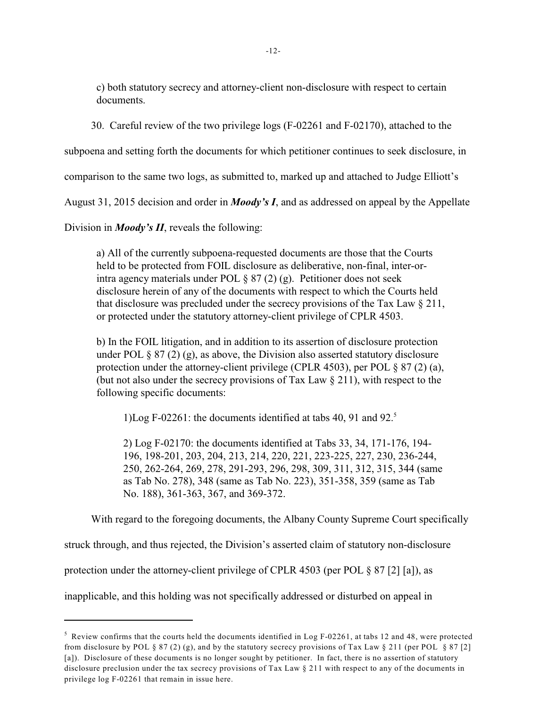c) both statutory secrecy and attorney-client non-disclosure with respect to certain documents.

30. Careful review of the two privilege logs (F-02261 and F-02170), attached to the

subpoena and setting forth the documents for which petitioner continues to seek disclosure, in

comparison to the same two logs, as submitted to, marked up and attached to Judge Elliott's

August 31, 2015 decision and order in *Moody's I*, and as addressed on appeal by the Appellate

Division in *Moody's II*, reveals the following:

a) All of the currently subpoena-requested documents are those that the Courts held to be protected from FOIL disclosure as deliberative, non-final, inter-orintra agency materials under POL § 87 (2) (g). Petitioner does not seek disclosure herein of any of the documents with respect to which the Courts held that disclosure was precluded under the secrecy provisions of the Tax Law  $\S 211$ , or protected under the statutory attorney-client privilege of CPLR 4503.

b) In the FOIL litigation, and in addition to its assertion of disclosure protection under POL  $\S 87 (2) (g)$ , as above, the Division also asserted statutory disclosure protection under the attorney-client privilege (CPLR 4503), per POL § 87 (2) (a), (but not also under the secrecy provisions of Tax Law § 211), with respect to the following specific documents:

1)Log F-02261: the documents identified at tabs 40, 91 and 92.<sup>5</sup>

2) Log F-02170: the documents identified at Tabs 33, 34, 171-176, 194- 196, 198-201, 203, 204, 213, 214, 220, 221, 223-225, 227, 230, 236-244, 250, 262-264, 269, 278, 291-293, 296, 298, 309, 311, 312, 315, 344 (same as Tab No. 278), 348 (same as Tab No. 223), 351-358, 359 (same as Tab No. 188), 361-363, 367, and 369-372.

With regard to the foregoing documents, the Albany County Supreme Court specifically

struck through, and thus rejected, the Division's asserted claim of statutory non-disclosure

protection under the attorney-client privilege of CPLR 4503 (per POL § 87 [2] [a]), as

inapplicable, and this holding was not specifically addressed or disturbed on appeal in

 $\frac{1}{2}$  Review confirms that the courts held the documents identified in Log F-02261, at tabs 12 and 48, were protected from disclosure by POL § 87 (2) (g), and by the statutory secrecy provisions of Tax Law § 211 (per POL § 87 [2] [a]). Disclosure of these documents is no longer sought by petitioner. In fact, there is no assertion of statutory disclosure preclusion under the tax secrecy provisions of Tax Law § 211 with respect to any of the documents in privilege log F-02261 that remain in issue here.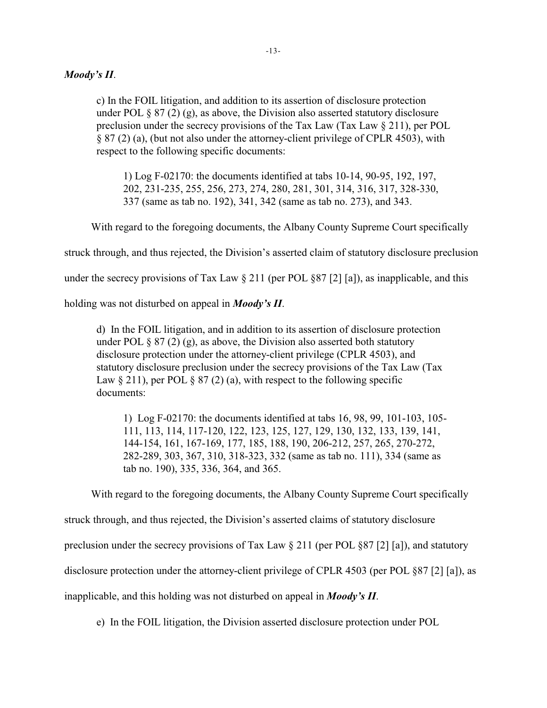### *Moody's II*.

c) In the FOIL litigation, and addition to its assertion of disclosure protection under POL  $\S 87 (2) (g)$ , as above, the Division also asserted statutory disclosure preclusion under the secrecy provisions of the Tax Law (Tax Law  $\S 211$ ), per POL § 87 (2) (a), (but not also under the attorney-client privilege of CPLR 4503), with respect to the following specific documents:

1) Log F-02170: the documents identified at tabs 10-14, 90-95, 192, 197, 202, 231-235, 255, 256, 273, 274, 280, 281, 301, 314, 316, 317, 328-330, 337 (same as tab no. 192), 341, 342 (same as tab no. 273), and 343.

With regard to the foregoing documents, the Albany County Supreme Court specifically

struck through, and thus rejected, the Division's asserted claim of statutory disclosure preclusion

under the secrecy provisions of Tax Law  $\S 211$  (per POL  $\S 87$  [2] [a]), as inapplicable, and this

holding was not disturbed on appeal in *Moody's II*.

d) In the FOIL litigation, and in addition to its assertion of disclosure protection under POL  $\S 87(2)(g)$ , as above, the Division also asserted both statutory disclosure protection under the attorney-client privilege (CPLR 4503), and statutory disclosure preclusion under the secrecy provisions of the Tax Law (Tax Law  $\S 211$ , per POL  $\S 87(2)$  (a), with respect to the following specific documents:

1) Log F-02170: the documents identified at tabs 16, 98, 99, 101-103, 105- 111, 113, 114, 117-120, 122, 123, 125, 127, 129, 130, 132, 133, 139, 141, 144-154, 161, 167-169, 177, 185, 188, 190, 206-212, 257, 265, 270-272, 282-289, 303, 367, 310, 318-323, 332 (same as tab no. 111), 334 (same as tab no. 190), 335, 336, 364, and 365.

With regard to the foregoing documents, the Albany County Supreme Court specifically

struck through, and thus rejected, the Division's asserted claims of statutory disclosure

preclusion under the secrecy provisions of Tax Law § 211 (per POL §87 [2] [a]), and statutory

disclosure protection under the attorney-client privilege of CPLR 4503 (per POL §87 [2] [a]), as

inapplicable, and this holding was not disturbed on appeal in *Moody's II*.

e) In the FOIL litigation, the Division asserted disclosure protection under POL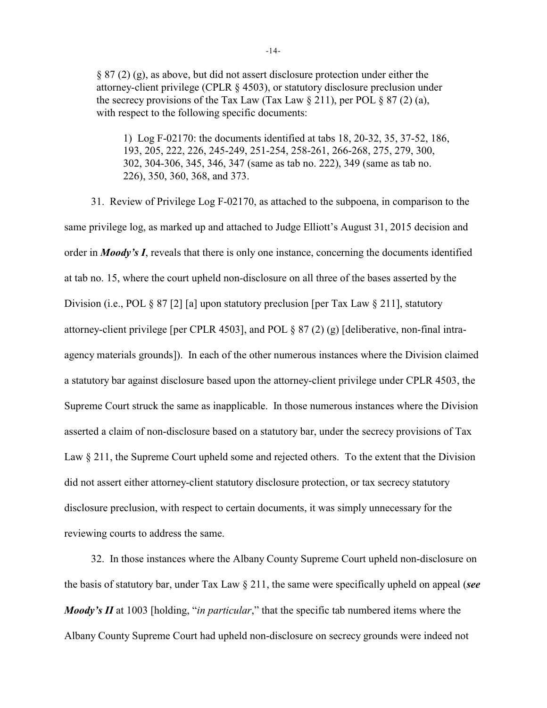§ 87 (2) (g), as above, but did not assert disclosure protection under either the attorney-client privilege (CPLR § 4503), or statutory disclosure preclusion under the secrecy provisions of the Tax Law (Tax Law  $\S 211$ ), per POL  $\S 87$  (2) (a), with respect to the following specific documents:

1) Log F-02170: the documents identified at tabs 18, 20-32, 35, 37-52, 186, 193, 205, 222, 226, 245-249, 251-254, 258-261, 266-268, 275, 279, 300, 302, 304-306, 345, 346, 347 (same as tab no. 222), 349 (same as tab no. 226), 350, 360, 368, and 373.

31. Review of Privilege Log F-02170, as attached to the subpoena, in comparison to the same privilege log, as marked up and attached to Judge Elliott's August 31, 2015 decision and order in *Moody's I*, reveals that there is only one instance, concerning the documents identified at tab no. 15, where the court upheld non-disclosure on all three of the bases asserted by the Division (i.e., POL § 87 [2] [a] upon statutory preclusion [per Tax Law § 211], statutory attorney-client privilege [per CPLR 4503], and POL § 87 (2) (g) [deliberative, non-final intraagency materials grounds]). In each of the other numerous instances where the Division claimed a statutory bar against disclosure based upon the attorney-client privilege under CPLR 4503, the Supreme Court struck the same as inapplicable. In those numerous instances where the Division asserted a claim of non-disclosure based on a statutory bar, under the secrecy provisions of Tax Law § 211, the Supreme Court upheld some and rejected others. To the extent that the Division did not assert either attorney-client statutory disclosure protection, or tax secrecy statutory disclosure preclusion, with respect to certain documents, it was simply unnecessary for the reviewing courts to address the same.

32. In those instances where the Albany County Supreme Court upheld non-disclosure on the basis of statutory bar, under Tax Law § 211, the same were specifically upheld on appeal (*see Moody's II* at 1003 [holding, "*in particular*," that the specific tab numbered items where the Albany County Supreme Court had upheld non-disclosure on secrecy grounds were indeed not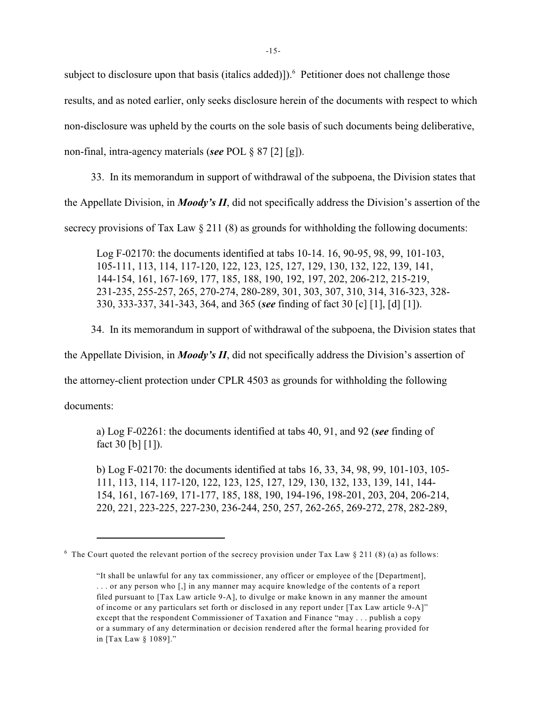subject to disclosure upon that basis (italics added)]).<sup>6</sup> Petitioner does not challenge those results, and as noted earlier, only seeks disclosure herein of the documents with respect to which non-disclosure was upheld by the courts on the sole basis of such documents being deliberative, non-final, intra-agency materials (*see* POL § 87 [2] [g]).

33. In its memorandum in support of withdrawal of the subpoena, the Division states that the Appellate Division, in *Moody's II*, did not specifically address the Division's assertion of the secrecy provisions of Tax Law  $\S 211 (8)$  as grounds for withholding the following documents:

Log F-02170: the documents identified at tabs 10-14. 16, 90-95, 98, 99, 101-103, 105-111, 113, 114, 117-120, 122, 123, 125, 127, 129, 130, 132, 122, 139, 141, 144-154, 161, 167-169, 177, 185, 188, 190, 192, 197, 202, 206-212, 215-219, 231-235, 255-257, 265, 270-274, 280-289, 301, 303, 307, 310, 314, 316-323, 328- 330, 333-337, 341-343, 364, and 365 (*see* finding of fact 30 [c] [1], [d] [1]).

34. In its memorandum in support of withdrawal of the subpoena, the Division states that

the Appellate Division, in *Moody's II*, did not specifically address the Division's assertion of

the attorney-client protection under CPLR 4503 as grounds for withholding the following

documents:

a) Log F-02261: the documents identified at tabs 40, 91, and 92 (*see* finding of fact 30 [b] [1]).

b) Log F-02170: the documents identified at tabs 16, 33, 34, 98, 99, 101-103, 105- 111, 113, 114, 117-120, 122, 123, 125, 127, 129, 130, 132, 133, 139, 141, 144- 154, 161, 167-169, 171-177, 185, 188, 190, 194-196, 198-201, 203, 204, 206-214, 220, 221, 223-225, 227-230, 236-244, 250, 257, 262-265, 269-272, 278, 282-289,

<sup>&</sup>lt;sup>6</sup> The Court quoted the relevant portion of the secrecy provision under Tax Law  $\S 211 (8)$  (a) as follows:

<sup>&</sup>quot;It shall be unlawful for any tax commissioner, any officer or employee of the [Department], . . . or any person who [,] in any manner may acquire knowledge of the contents of a report filed pursuant to [Tax Law article 9-A], to divulge or make known in any manner the amount of income or any particulars set forth or disclosed in any report under [Tax Law article 9-A]" except that the respondent Commissioner of Taxation and Finance "may . . . publish a copy or a summary of any determination or decision rendered after the formal hearing provided for in [Tax Law § 1089]."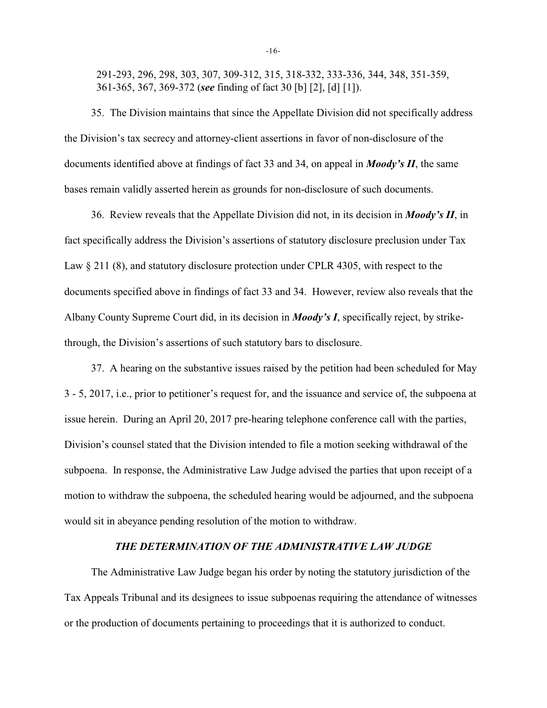291-293, 296, 298, 303, 307, 309-312, 315, 318-332, 333-336, 344, 348, 351-359, 361-365, 367, 369-372 (*see* finding of fact 30 [b] [2], [d] [1]).

35. The Division maintains that since the Appellate Division did not specifically address the Division's tax secrecy and attorney-client assertions in favor of non-disclosure of the documents identified above at findings of fact 33 and 34, on appeal in *Moody's II*, the same bases remain validly asserted herein as grounds for non-disclosure of such documents.

36. Review reveals that the Appellate Division did not, in its decision in *Moody's II*, in fact specifically address the Division's assertions of statutory disclosure preclusion under Tax Law  $\S 211 (8)$ , and statutory disclosure protection under CPLR 4305, with respect to the documents specified above in findings of fact 33 and 34. However, review also reveals that the Albany County Supreme Court did, in its decision in *Moody's I*, specifically reject, by strikethrough, the Division's assertions of such statutory bars to disclosure.

37. A hearing on the substantive issues raised by the petition had been scheduled for May 3 - 5, 2017, i.e., prior to petitioner's request for, and the issuance and service of, the subpoena at issue herein. During an April 20, 2017 pre-hearing telephone conference call with the parties, Division's counsel stated that the Division intended to file a motion seeking withdrawal of the subpoena. In response, the Administrative Law Judge advised the parties that upon receipt of a motion to withdraw the subpoena, the scheduled hearing would be adjourned, and the subpoena would sit in abeyance pending resolution of the motion to withdraw.

### *THE DETERMINATION OF THE ADMINISTRATIVE LAW JUDGE*

The Administrative Law Judge began his order by noting the statutory jurisdiction of the Tax Appeals Tribunal and its designees to issue subpoenas requiring the attendance of witnesses or the production of documents pertaining to proceedings that it is authorized to conduct.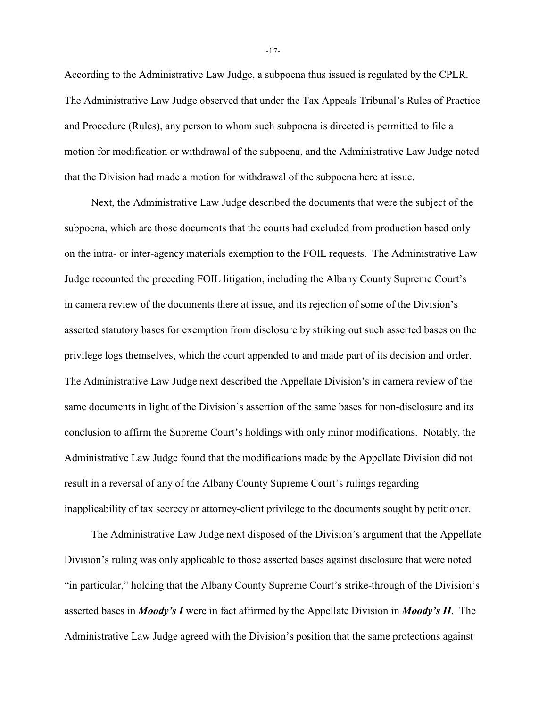According to the Administrative Law Judge, a subpoena thus issued is regulated by the CPLR. The Administrative Law Judge observed that under the Tax Appeals Tribunal's Rules of Practice and Procedure (Rules), any person to whom such subpoena is directed is permitted to file a motion for modification or withdrawal of the subpoena, and the Administrative Law Judge noted that the Division had made a motion for withdrawal of the subpoena here at issue.

Next, the Administrative Law Judge described the documents that were the subject of the subpoena, which are those documents that the courts had excluded from production based only on the intra- or inter-agency materials exemption to the FOIL requests. The Administrative Law Judge recounted the preceding FOIL litigation, including the Albany County Supreme Court's in camera review of the documents there at issue, and its rejection of some of the Division's asserted statutory bases for exemption from disclosure by striking out such asserted bases on the privilege logs themselves, which the court appended to and made part of its decision and order. The Administrative Law Judge next described the Appellate Division's in camera review of the same documents in light of the Division's assertion of the same bases for non-disclosure and its conclusion to affirm the Supreme Court's holdings with only minor modifications. Notably, the Administrative Law Judge found that the modifications made by the Appellate Division did not result in a reversal of any of the Albany County Supreme Court's rulings regarding inapplicability of tax secrecy or attorney-client privilege to the documents sought by petitioner.

The Administrative Law Judge next disposed of the Division's argument that the Appellate Division's ruling was only applicable to those asserted bases against disclosure that were noted "in particular," holding that the Albany County Supreme Court's strike-through of the Division's asserted bases in *Moody's I* were in fact affirmed by the Appellate Division in *Moody's II*. The Administrative Law Judge agreed with the Division's position that the same protections against

-17-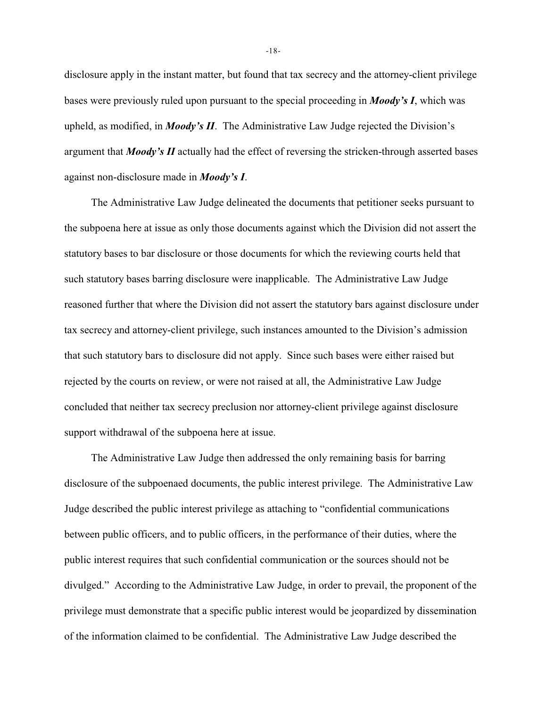disclosure apply in the instant matter, but found that tax secrecy and the attorney-client privilege bases were previously ruled upon pursuant to the special proceeding in *Moody's I*, which was upheld, as modified, in *Moody's II*. The Administrative Law Judge rejected the Division's argument that *Moody's II* actually had the effect of reversing the stricken-through asserted bases against non-disclosure made in *Moody's I*.

The Administrative Law Judge delineated the documents that petitioner seeks pursuant to the subpoena here at issue as only those documents against which the Division did not assert the statutory bases to bar disclosure or those documents for which the reviewing courts held that such statutory bases barring disclosure were inapplicable. The Administrative Law Judge reasoned further that where the Division did not assert the statutory bars against disclosure under tax secrecy and attorney-client privilege, such instances amounted to the Division's admission that such statutory bars to disclosure did not apply. Since such bases were either raised but rejected by the courts on review, or were not raised at all, the Administrative Law Judge concluded that neither tax secrecy preclusion nor attorney-client privilege against disclosure support withdrawal of the subpoena here at issue.

The Administrative Law Judge then addressed the only remaining basis for barring disclosure of the subpoenaed documents, the public interest privilege. The Administrative Law Judge described the public interest privilege as attaching to "confidential communications between public officers, and to public officers, in the performance of their duties, where the public interest requires that such confidential communication or the sources should not be divulged." According to the Administrative Law Judge, in order to prevail, the proponent of the privilege must demonstrate that a specific public interest would be jeopardized by dissemination of the information claimed to be confidential. The Administrative Law Judge described the

-18-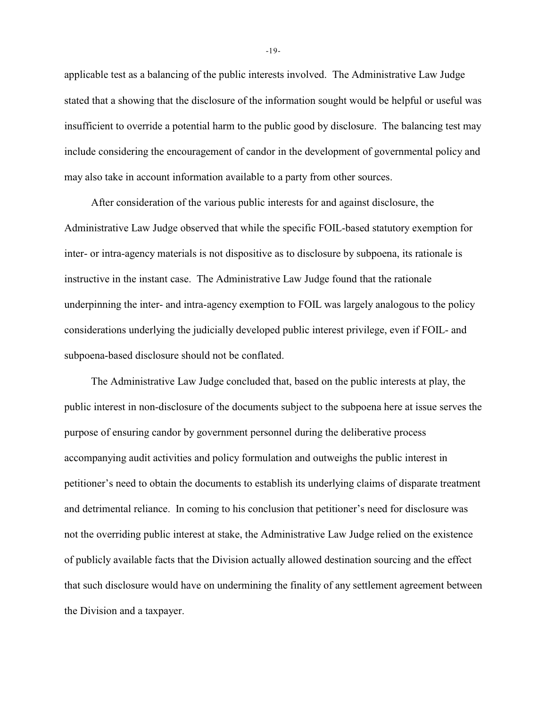applicable test as a balancing of the public interests involved. The Administrative Law Judge stated that a showing that the disclosure of the information sought would be helpful or useful was insufficient to override a potential harm to the public good by disclosure. The balancing test may include considering the encouragement of candor in the development of governmental policy and may also take in account information available to a party from other sources.

After consideration of the various public interests for and against disclosure, the Administrative Law Judge observed that while the specific FOIL-based statutory exemption for inter- or intra-agency materials is not dispositive as to disclosure by subpoena, its rationale is instructive in the instant case. The Administrative Law Judge found that the rationale underpinning the inter- and intra-agency exemption to FOIL was largely analogous to the policy considerations underlying the judicially developed public interest privilege, even if FOIL- and subpoena-based disclosure should not be conflated.

The Administrative Law Judge concluded that, based on the public interests at play, the public interest in non-disclosure of the documents subject to the subpoena here at issue serves the purpose of ensuring candor by government personnel during the deliberative process accompanying audit activities and policy formulation and outweighs the public interest in petitioner's need to obtain the documents to establish its underlying claims of disparate treatment and detrimental reliance. In coming to his conclusion that petitioner's need for disclosure was not the overriding public interest at stake, the Administrative Law Judge relied on the existence of publicly available facts that the Division actually allowed destination sourcing and the effect that such disclosure would have on undermining the finality of any settlement agreement between the Division and a taxpayer.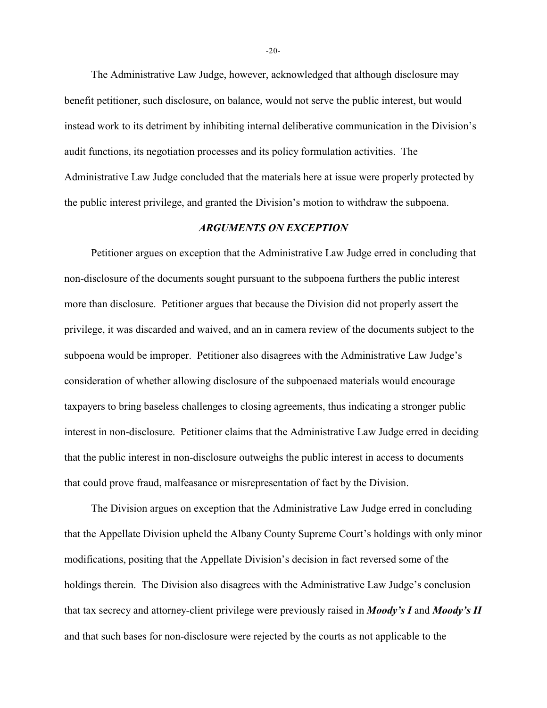The Administrative Law Judge, however, acknowledged that although disclosure may benefit petitioner, such disclosure, on balance, would not serve the public interest, but would instead work to its detriment by inhibiting internal deliberative communication in the Division's audit functions, its negotiation processes and its policy formulation activities. The Administrative Law Judge concluded that the materials here at issue were properly protected by the public interest privilege, and granted the Division's motion to withdraw the subpoena.

## *ARGUMENTS ON EXCEPTION*

Petitioner argues on exception that the Administrative Law Judge erred in concluding that non-disclosure of the documents sought pursuant to the subpoena furthers the public interest more than disclosure. Petitioner argues that because the Division did not properly assert the privilege, it was discarded and waived, and an in camera review of the documents subject to the subpoena would be improper. Petitioner also disagrees with the Administrative Law Judge's consideration of whether allowing disclosure of the subpoenaed materials would encourage taxpayers to bring baseless challenges to closing agreements, thus indicating a stronger public interest in non-disclosure. Petitioner claims that the Administrative Law Judge erred in deciding that the public interest in non-disclosure outweighs the public interest in access to documents that could prove fraud, malfeasance or misrepresentation of fact by the Division.

The Division argues on exception that the Administrative Law Judge erred in concluding that the Appellate Division upheld the Albany County Supreme Court's holdings with only minor modifications, positing that the Appellate Division's decision in fact reversed some of the holdings therein. The Division also disagrees with the Administrative Law Judge's conclusion that tax secrecy and attorney-client privilege were previously raised in *Moody's I* and *Moody's II* and that such bases for non-disclosure were rejected by the courts as not applicable to the

-20-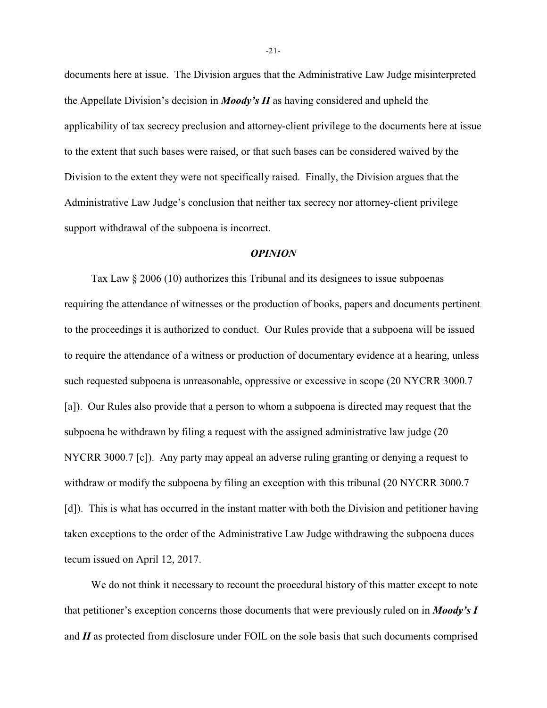documents here at issue. The Division argues that the Administrative Law Judge misinterpreted the Appellate Division's decision in *Moody's II* as having considered and upheld the applicability of tax secrecy preclusion and attorney-client privilege to the documents here at issue to the extent that such bases were raised, or that such bases can be considered waived by the Division to the extent they were not specifically raised. Finally, the Division argues that the Administrative Law Judge's conclusion that neither tax secrecy nor attorney-client privilege support withdrawal of the subpoena is incorrect.

#### *OPINION*

Tax Law § 2006 (10) authorizes this Tribunal and its designees to issue subpoenas requiring the attendance of witnesses or the production of books, papers and documents pertinent to the proceedings it is authorized to conduct. Our Rules provide that a subpoena will be issued to require the attendance of a witness or production of documentary evidence at a hearing, unless such requested subpoena is unreasonable, oppressive or excessive in scope (20 NYCRR 3000.7 [a]). Our Rules also provide that a person to whom a subpoena is directed may request that the subpoena be withdrawn by filing a request with the assigned administrative law judge (20 NYCRR 3000.7 [c]). Any party may appeal an adverse ruling granting or denying a request to withdraw or modify the subpoena by filing an exception with this tribunal (20 NYCRR 3000.7) [d]). This is what has occurred in the instant matter with both the Division and petitioner having taken exceptions to the order of the Administrative Law Judge withdrawing the subpoena duces tecum issued on April 12, 2017.

We do not think it necessary to recount the procedural history of this matter except to note that petitioner's exception concerns those documents that were previously ruled on in *Moody's I* and *II* as protected from disclosure under FOIL on the sole basis that such documents comprised

-21-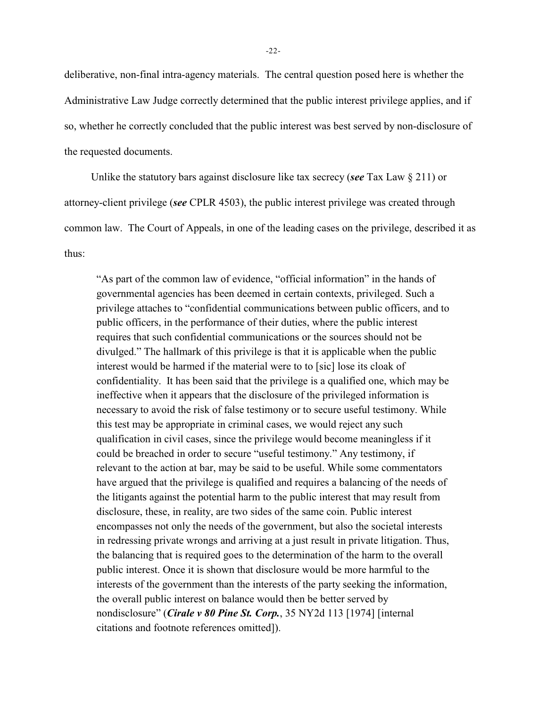deliberative, non-final intra-agency materials. The central question posed here is whether the Administrative Law Judge correctly determined that the public interest privilege applies, and if so, whether he correctly concluded that the public interest was best served by non-disclosure of the requested documents.

Unlike the statutory bars against disclosure like tax secrecy (*see* Tax Law § 211) or attorney-client privilege (*see* CPLR 4503), the public interest privilege was created through common law. The Court of Appeals, in one of the leading cases on the privilege, described it as thus:

"As part of the common law of evidence, "official information" in the hands of governmental agencies has been deemed in certain contexts, privileged. Such a privilege attaches to "confidential communications between public officers, and to public officers, in the performance of their duties, where the public interest requires that such confidential communications or the sources should not be divulged." The hallmark of this privilege is that it is applicable when the public interest would be harmed if the material were to to [sic] lose its cloak of confidentiality. It has been said that the privilege is a qualified one, which may be ineffective when it appears that the disclosure of the privileged information is necessary to avoid the risk of false testimony or to secure useful testimony. While this test may be appropriate in criminal cases, we would reject any such qualification in civil cases, since the privilege would become meaningless if it could be breached in order to secure "useful testimony." Any testimony, if relevant to the action at bar, may be said to be useful. While some commentators have argued that the privilege is qualified and requires a balancing of the needs of the litigants against the potential harm to the public interest that may result from disclosure, these, in reality, are two sides of the same coin. Public interest encompasses not only the needs of the government, but also the societal interests in redressing private wrongs and arriving at a just result in private litigation. Thus, the balancing that is required goes to the determination of the harm to the overall public interest. Once it is shown that disclosure would be more harmful to the interests of the government than the interests of the party seeking the information, the overall public interest on balance would then be better served by nondisclosure" (*Cirale v 80 Pine St. Corp.*, 35 NY2d 113 [1974] [internal citations and footnote references omitted]).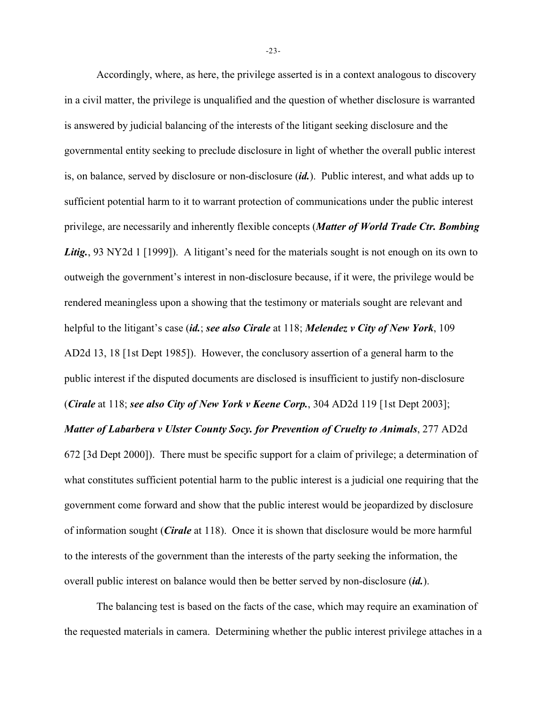Accordingly, where, as here, the privilege asserted is in a context analogous to discovery in a civil matter, the privilege is unqualified and the question of whether disclosure is warranted is answered by judicial balancing of the interests of the litigant seeking disclosure and the governmental entity seeking to preclude disclosure in light of whether the overall public interest is, on balance, served by disclosure or non-disclosure (*id.*). Public interest, and what adds up to sufficient potential harm to it to warrant protection of communications under the public interest privilege, are necessarily and inherently flexible concepts (*Matter of World Trade Ctr. Bombing* Litig., 93 NY2d 1 [1999]). A litigant's need for the materials sought is not enough on its own to outweigh the government's interest in non-disclosure because, if it were, the privilege would be rendered meaningless upon a showing that the testimony or materials sought are relevant and helpful to the litigant's case (*id.*; *see also Cirale* at 118; *Melendez v City of New York*, 109 AD2d 13, 18 [1st Dept 1985]). However, the conclusory assertion of a general harm to the public interest if the disputed documents are disclosed is insufficient to justify non-disclosure (*Cirale* at 118; *see also City of New York v Keene Corp.*, 304 AD2d 119 [1st Dept 2003]; *Matter of Labarbera v Ulster County Socy. for Prevention of Cruelty to Animals, 277 AD2d* 672 [3d Dept 2000]). There must be specific support for a claim of privilege; a determination of what constitutes sufficient potential harm to the public interest is a judicial one requiring that the government come forward and show that the public interest would be jeopardized by disclosure of information sought (*Cirale* at 118). Once it is shown that disclosure would be more harmful to the interests of the government than the interests of the party seeking the information, the overall public interest on balance would then be better served by non-disclosure (*id.*).

The balancing test is based on the facts of the case, which may require an examination of the requested materials in camera. Determining whether the public interest privilege attaches in a

-23-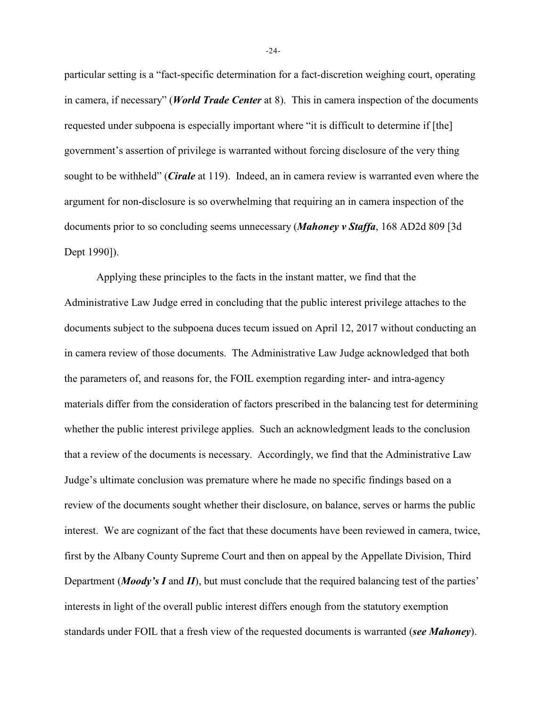particular setting is a "fact-specific determination for a fact-discretion weighing court, operating in camera, if necessary" (*World Trade Center* at 8). This in camera inspection of the documents requested under subpoena is especially important where "it is difficult to determine if [the] government's assertion of privilege is warranted without forcing disclosure of the very thing sought to be withheld" (*Cirale* at 119). Indeed, an in camera review is warranted even where the argument for non-disclosure is so overwhelming that requiring an in camera inspection of the documents prior to so concluding seems unnecessary (*Mahoney v Staffa*, 168 AD2d 809 [3d Dept 1990]).

Applying these principles to the facts in the instant matter, we find that the Administrative Law Judge erred in concluding that the public interest privilege attaches to the documents subject to the subpoena duces tecum issued on April 12, 2017 without conducting an in camera review of those documents. The Administrative Law Judge acknowledged that both the parameters of, and reasons for, the FOIL exemption regarding inter- and intra-agency materials differ from the consideration of factors prescribed in the balancing test for determining whether the public interest privilege applies. Such an acknowledgment leads to the conclusion that a review of the documents is necessary. Accordingly, we find that the Administrative Law Judge's ultimate conclusion was premature where he made no specific findings based on a review of the documents sought whether their disclosure, on balance, serves or harms the public interest. We are cognizant of the fact that these documents have been reviewed in camera, twice, first by the Albany County Supreme Court and then on appeal by the Appellate Division, Third Department (*Moody's I* and *II*), but must conclude that the required balancing test of the parties' interests in light of the overall public interest differs enough from the statutory exemption standards under FOIL that a fresh view of the requested documents is warranted (*see Mahoney*).

-24-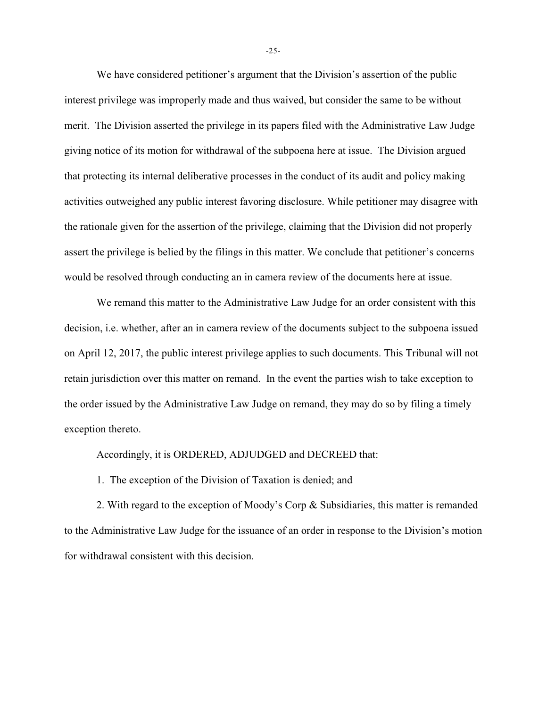We have considered petitioner's argument that the Division's assertion of the public interest privilege was improperly made and thus waived, but consider the same to be without merit. The Division asserted the privilege in its papers filed with the Administrative Law Judge giving notice of its motion for withdrawal of the subpoena here at issue. The Division argued that protecting its internal deliberative processes in the conduct of its audit and policy making activities outweighed any public interest favoring disclosure. While petitioner may disagree with the rationale given for the assertion of the privilege, claiming that the Division did not properly assert the privilege is belied by the filings in this matter. We conclude that petitioner's concerns would be resolved through conducting an in camera review of the documents here at issue.

We remand this matter to the Administrative Law Judge for an order consistent with this decision, i.e. whether, after an in camera review of the documents subject to the subpoena issued on April 12, 2017, the public interest privilege applies to such documents. This Tribunal will not retain jurisdiction over this matter on remand. In the event the parties wish to take exception to the order issued by the Administrative Law Judge on remand, they may do so by filing a timely exception thereto.

Accordingly, it is ORDERED, ADJUDGED and DECREED that:

1. The exception of the Division of Taxation is denied; and

2. With regard to the exception of Moody's Corp  $\&$  Subsidiaries, this matter is remanded to the Administrative Law Judge for the issuance of an order in response to the Division's motion for withdrawal consistent with this decision.

-25-